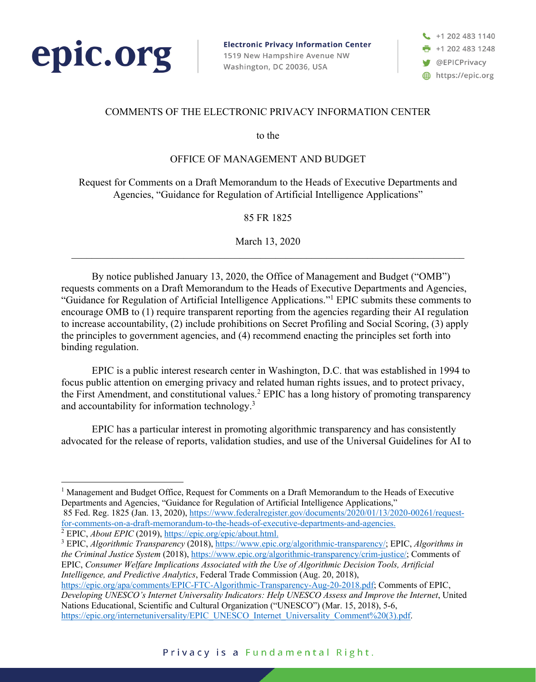

**Electronic Privacy Information Center** 1519 New Hampshire Avenue NW Washington, DC 20036, USA

+1 202 483 1140  $+12024831248$ **W** @EPICPrivacy https://epic.org

### COMMENTS OF THE ELECTRONIC PRIVACY INFORMATION CENTER

to the

#### OFFICE OF MANAGEMENT AND BUDGET

Request for Comments on a Draft Memorandum to the Heads of Executive Departments and Agencies, "Guidance for Regulation of Artificial Intelligence Applications"

85 FR 1825

March 13, 2020

By notice published January 13, 2020, the Office of Management and Budget ("OMB") requests comments on a Draft Memorandum to the Heads of Executive Departments and Agencies, "Guidance for Regulation of Artificial Intelligence Applications."1 EPIC submits these comments to encourage OMB to (1) require transparent reporting from the agencies regarding their AI regulation to increase accountability, (2) include prohibitions on Secret Profiling and Social Scoring, (3) apply the principles to government agencies, and (4) recommend enacting the principles set forth into binding regulation.

EPIC is a public interest research center in Washington, D.C. that was established in 1994 to focus public attention on emerging privacy and related human rights issues, and to protect privacy, the First Amendment, and constitutional values.<sup>2</sup> EPIC has a long history of promoting transparency and accountability for information technology.3

EPIC has a particular interest in promoting algorithmic transparency and has consistently advocated for the release of reports, validation studies, and use of the Universal Guidelines for AI to

<sup>1</sup> Management and Budget Office, Request for Comments on a Draft Memorandum to the Heads of Executive Departments and Agencies, "Guidance for Regulation of Artificial Intelligence Applications," 85 Fed. Reg. 1825 (Jan. 13, 2020), https://www.federalregister.gov/documents/2020/01/13/2020-00261/request-

for-comments-on-a-draft-memorandum-to-the-heads-of-executive-departments-and-agencies. 2 EPIC, *About EPIC* (2019), https://epic.org/epic/about.html.

<sup>3</sup> EPIC, *Algorithmic Transparency* (2018), https://www.epic.org/algorithmic-transparency/; EPIC, *Algorithms in the Criminal Justice System* (2018), https://www.epic.org/algorithmic-transparency/crim-justice/; Comments of EPIC, *Consumer Welfare Implications Associated with the Use of Algorithmic Decision Tools, Artificial Intelligence, and Predictive Analytics*, Federal Trade Commission (Aug. 20, 2018),

https://epic.org/apa/comments/EPIC-FTC-Algorithmic-Transparency-Aug-20-2018.pdf; Comments of EPIC, *Developing UNESCO's Internet Universality Indicators: Help UNESCO Assess and Improve the Internet*, United Nations Educational, Scientific and Cultural Organization ("UNESCO") (Mar. 15, 2018), 5-6, https://epic.org/internetuniversality/EPIC\_UNESCO\_Internet\_Universality\_Comment%20(3).pdf.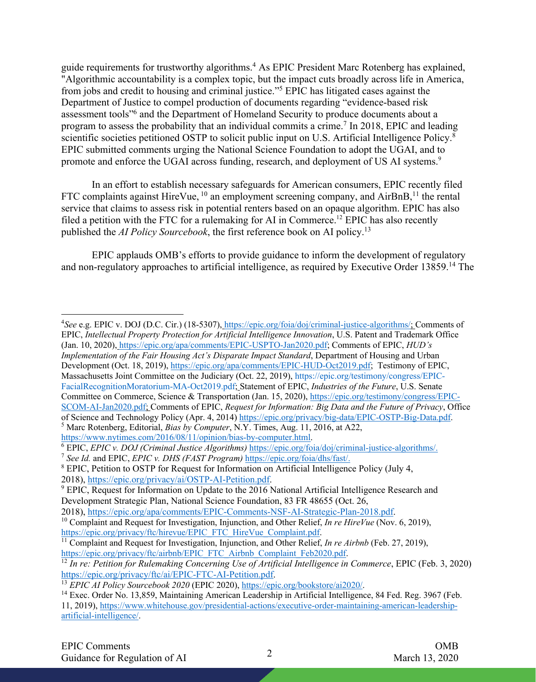guide requirements for trustworthy algorithms.4 As EPIC President Marc Rotenberg has explained, "Algorithmic accountability is a complex topic, but the impact cuts broadly across life in America, from jobs and credit to housing and criminal justice."5 EPIC has litigated cases against the Department of Justice to compel production of documents regarding "evidence-based risk assessment tools"6 and the Department of Homeland Security to produce documents about a program to assess the probability that an individual commits a crime.7 In 2018, EPIC and leading scientific societies petitioned OSTP to solicit public input on U.S. Artificial Intelligence Policy.<sup>8</sup> EPIC submitted comments urging the National Science Foundation to adopt the UGAI, and to promote and enforce the UGAI across funding, research, and deployment of US AI systems.<sup>9</sup>

In an effort to establish necessary safeguards for American consumers, EPIC recently filed FTC complaints against HireVue,  $10$  an employment screening company, and AirBnB,  $11$  the rental service that claims to assess risk in potential renters based on an opaque algorithm. EPIC has also filed a petition with the FTC for a rulemaking for AI in Commerce.<sup>12</sup> EPIC has also recently published the *AI Policy Sourcebook*, the first reference book on AI policy.13

EPIC applauds OMB's efforts to provide guidance to inform the development of regulatory and non-regulatory approaches to artificial intelligence, as required by Executive Order 13859. <sup>14</sup> The

<sup>4</sup> *See* e.g. EPIC v. DOJ (D.C. Cir.) (18-5307), https://epic.org/foia/doj/criminal-justice-algorithms/; Comments of EPIC, *Intellectual Property Protection for Artificial Intelligence Innovation*, U.S. Patent and Trademark Office (Jan. 10, 2020), https://epic.org/apa/comments/EPIC-USPTO-Jan2020.pdf; Comments of EPIC, *HUD's Implementation of the Fair Housing Act's Disparate Impact Standard*, Department of Housing and Urban Development (Oct. 18, 2019), https://epic.org/apa/comments/EPIC-HUD-Oct2019.pdf; Testimony of EPIC, Massachusetts Joint Committee on the Judiciary (Oct. 22, 2019), https://epic.org/testimony/congress/EPIC-FacialRecognitionMoratorium-MA-Oct2019.pdf; Statement of EPIC, *Industries of the Future*, U.S. Senate Committee on Commerce, Science & Transportation (Jan. 15, 2020), https://epic.org/testimony/congress/EPIC-SCOM-AI-Jan2020.pdf; Comments of EPIC, *Request for Information: Big Data and the Future of Privacy*, Office of Science and Technology Policy (Apr. 4, 2014) https://epic.org/privacy/big-data/EPIC-OSTP-Big-Data.pdf. <sup>5</sup> Marc Rotenberg, Editorial, *Bias by Computer*, N.Y. Times, Aug. 11, 2016, at A22,

https://www.nytimes.com/2016/08/11/opinion/bias-by-computer.html. 6 EPIC, *EPIC v. DOJ (Criminal Justice Algorithms)* https://epic.org/foia/doj/criminal-justice-algorithms/.

<sup>&</sup>lt;sup>7</sup> *See Id.* and EPIC, *EPIC v. DHS (FAST Program)* https://epic.org/foia/dhs/fast/.<br><sup>8</sup> EPIC, Petition to OSTP for Request for Information on Artificial Intelligence Policy (July 4, 2018), https://epic.org/privacy/ai/OSTP-AI-Petition.pdf.

<sup>&</sup>lt;sup>9</sup> EPIC, Request for Information on Update to the 2016 National Artificial Intelligence Research and Development Strategic Plan, National Science Foundation, 83 FR 48655 (Oct. 26,

<sup>2018),</sup> https://epic.org/apa/comments/EPIC-Comments-NSF-AI-Strategic-Plan-2018.pdf.

<sup>&</sup>lt;sup>10</sup> Complaint and Request for Investigation, Injunction, and Other Relief, *In re HireVue* (Nov. 6, 2019), https://epic.org/privacy/ftc/hirevue/EPIC\_FTC\_HireVue\_Complaint.pdf. 11 Complaint and Request for Investigation, Injunction, and Other Relief, *In re Airbnb* (Feb. 27, 2019),

https://epic.org/privacy/ftc/airbnb/EPIC\_FTC\_Airbnb\_Complaint\_Feb2020.pdf. 12 *In re: Petition for Rulemaking Concerning Use of Artificial Intelligence in Commerce*, EPIC (Feb. 3, 2020) https://epic.org/privacy/ftc/ai/EPIC-FTC-AI-Petition.pdf.<br><sup>13</sup> EPIC AI Policy Sourcebook 2020 (EPIC 2020), https://epic.org/bookstore/ai2020/.

<sup>&</sup>lt;sup>14</sup> Exec. Order No. 13,859, Maintaining American Leadership in Artificial Intelligence, 84 Fed. Reg. 3967 (Feb. 11, 2019), https://www.whitehouse.gov/presidential-actions/executive-order-maintaining-american-leadershipartificial-intelligence/.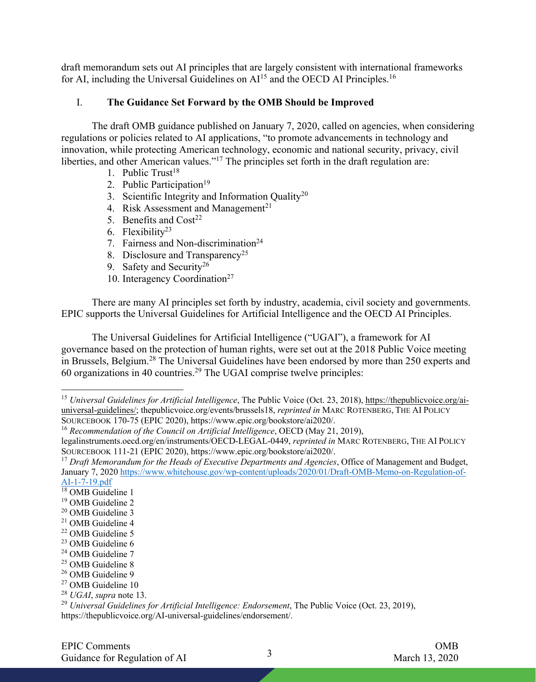draft memorandum sets out AI principles that are largely consistent with international frameworks for AI, including the Universal Guidelines on  $Al<sup>15</sup>$  and the OECD AI Principles.<sup>16</sup>

#### I. **The Guidance Set Forward by the OMB Should be Improved**

The draft OMB guidance published on January 7, 2020, called on agencies, when considering regulations or policies related to AI applications, "to promote advancements in technology and innovation, while protecting American technology, economic and national security, privacy, civil liberties, and other American values."<sup>17</sup> The principles set forth in the draft regulation are:

- 1. Public  $Trust^{18}$
- 2. Public Participation<sup>19</sup>
- 3. Scientific Integrity and Information Quality<sup>20</sup>
- 4. Risk Assessment and Management<sup>21</sup>
- 5. Benefits and  $Cost<sup>22</sup>$
- 6. Flexibility $23$
- 7. Fairness and Non-discrimination<sup>24</sup>
- 8. Disclosure and Transparency<sup>25</sup>
- 9. Safety and Security<sup>26</sup>
- 10. Interagency Coordination<sup>27</sup>

There are many AI principles set forth by industry, academia, civil society and governments. EPIC supports the Universal Guidelines for Artificial Intelligence and the OECD AI Principles.

The Universal Guidelines for Artificial Intelligence ("UGAI"), a framework for AI governance based on the protection of human rights, were set out at the 2018 Public Voice meeting in Brussels, Belgium.<sup>28</sup> The Universal Guidelines have been endorsed by more than 250 experts and  $60$  organizations in 40 countries.<sup>29</sup> The UGAI comprise twelve principles:

<sup>26</sup> OMB Guideline 9

<sup>15</sup> *Universal Guidelines for Artificial Intelligence*, The Public Voice (Oct. 23, 2018), https://thepublicvoice.org/aiuniversal-guidelines/; thepublicvoice.org/events/brussels18, *reprinted in* MARC ROTENBERG, THE AI POLICY SOURCEBOOK 170-75 (EPIC 2020), https://www.epic.org/bookstore/ai2020/.

<sup>16</sup> *Recommendation of the Council on Artificial Intelligence*, OECD (May 21, 2019),

legalinstruments.oecd.org/en/instruments/OECD-LEGAL-0449, *reprinted in* MARC ROTENBERG, THE AI POLICY SOURCEBOOK 111-21 (EPIC 2020), https://www.epic.org/bookstore/ai2020/.

<sup>&</sup>lt;sup>17</sup> *Draft Memorandum for the Heads of Executive Departments and Agencies*, Office of Management and Budget, January 7, 2020 https://www.whitehouse.gov/wp-content/uploads/2020/01/Draft-OMB-Memo-on-Regulation-of-AI-1-7-19.pdf

<sup>&</sup>lt;sup>18</sup> OMB Guideline 1

<sup>&</sup>lt;sup>19</sup> OMB Guideline 2

<sup>&</sup>lt;sup>20</sup> OMB Guideline 3

<sup>21</sup> OMB Guideline 4

<sup>22</sup> OMB Guideline 5

<sup>&</sup>lt;sup>23</sup> OMB Guideline 6

<sup>&</sup>lt;sup>24</sup> OMB Guideline 7

<sup>&</sup>lt;sup>25</sup> OMB Guideline 8

<sup>27</sup> OMB Guideline 10

<sup>28</sup> *UGAI*, *supra* note 13.

<sup>&</sup>lt;sup>29</sup> *Universal Guidelines for Artificial Intelligence: Endorsement*, The Public Voice (Oct. 23, 2019), https://thepublicvoice.org/AI-universal-guidelines/endorsement/.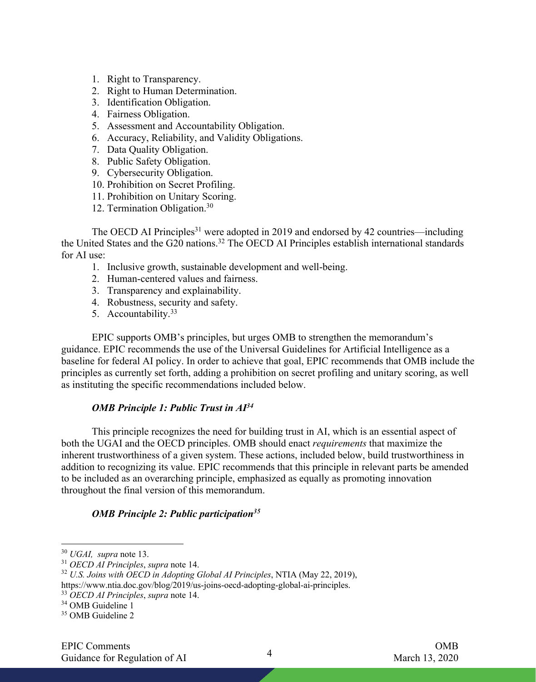- 1. Right to Transparency.
- 2. Right to Human Determination.
- 3. Identification Obligation.
- 4. Fairness Obligation.
- 5. Assessment and Accountability Obligation.
- 6. Accuracy, Reliability, and Validity Obligations.
- 7. Data Quality Obligation.
- 8. Public Safety Obligation.
- 9. Cybersecurity Obligation.
- 10. Prohibition on Secret Profiling.
- 11. Prohibition on Unitary Scoring.
- 12. Termination Obligation.30

The OECD AI Principles<sup>31</sup> were adopted in 2019 and endorsed by 42 countries—including the United States and the G20 nations.32 The OECD AI Principles establish international standards for AI use:

- 1. Inclusive growth, sustainable development and well-being.
- 2. Human-centered values and fairness.
- 3. Transparency and explainability.
- 4. Robustness, security and safety.
- 5. Accountability.33

EPIC supports OMB's principles, but urges OMB to strengthen the memorandum's guidance. EPIC recommends the use of the Universal Guidelines for Artificial Intelligence as a baseline for federal AI policy. In order to achieve that goal, EPIC recommends that OMB include the principles as currently set forth, adding a prohibition on secret profiling and unitary scoring, as well as instituting the specific recommendations included below.

#### *OMB Principle 1: Public Trust in AI34*

This principle recognizes the need for building trust in AI, which is an essential aspect of both the UGAI and the OECD principles. OMB should enact *requirements* that maximize the inherent trustworthiness of a given system. These actions, included below, build trustworthiness in addition to recognizing its value. EPIC recommends that this principle in relevant parts be amended to be included as an overarching principle, emphasized as equally as promoting innovation throughout the final version of this memorandum.

#### *OMB Principle 2: Public participation35*

<sup>30</sup> *UGAI, supra* note 13.

<sup>31</sup> *OECD AI Principles*, *supra* note 14.

<sup>32</sup> *U.S. Joins with OECD in Adopting Global AI Principles*, NTIA (May 22, 2019), https://www.ntia.doc.gov/blog/2019/us-joins-oecd-adopting-global-ai-principles.

<sup>33</sup> *OECD AI Principles*, *supra* note 14.

<sup>&</sup>lt;sup>34</sup> OMB Guideline 1

<sup>35</sup> OMB Guideline 2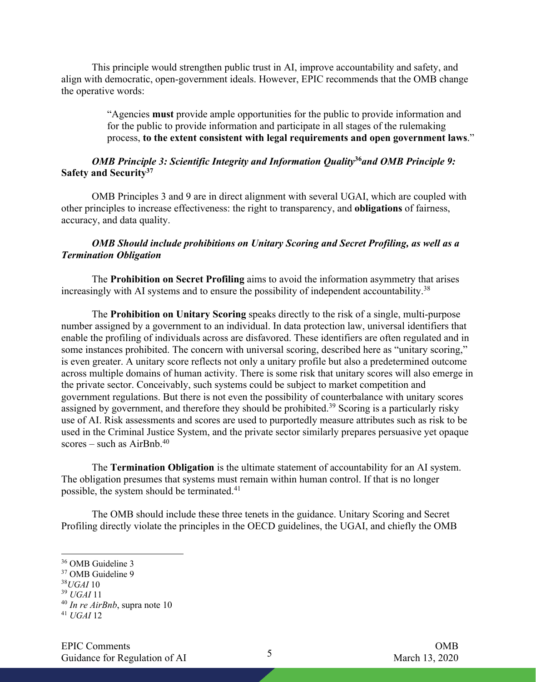This principle would strengthen public trust in AI, improve accountability and safety, and align with democratic, open-government ideals. However, EPIC recommends that the OMB change the operative words:

> "Agencies **must** provide ample opportunities for the public to provide information and for the public to provide information and participate in all stages of the rulemaking process, **to the extent consistent with legal requirements and open government laws**."

#### *OMB Principle 3: Scientific Integrity and Information Quality***<sup>36</sup>***and OMB Principle 9:*  **Safety and Security37**

OMB Principles 3 and 9 are in direct alignment with several UGAI, which are coupled with other principles to increase effectiveness: the right to transparency, and **obligations** of fairness, accuracy, and data quality.

#### *OMB Should include prohibitions on Unitary Scoring and Secret Profiling, as well as a Termination Obligation*

The **Prohibition on Secret Profiling** aims to avoid the information asymmetry that arises increasingly with AI systems and to ensure the possibility of independent accountability.<sup>38</sup>

The **Prohibition on Unitary Scoring** speaks directly to the risk of a single, multi-purpose number assigned by a government to an individual. In data protection law, universal identifiers that enable the profiling of individuals across are disfavored. These identifiers are often regulated and in some instances prohibited. The concern with universal scoring, described here as "unitary scoring," is even greater. A unitary score reflects not only a unitary profile but also a predetermined outcome across multiple domains of human activity. There is some risk that unitary scores will also emerge in the private sector. Conceivably, such systems could be subject to market competition and government regulations. But there is not even the possibility of counterbalance with unitary scores assigned by government, and therefore they should be prohibited.<sup>39</sup> Scoring is a particularly risky use of AI. Risk assessments and scores are used to purportedly measure attributes such as risk to be used in the Criminal Justice System, and the private sector similarly prepares persuasive yet opaque scores – such as  $AirBnb.<sup>40</sup>$ 

The **Termination Obligation** is the ultimate statement of accountability for an AI system. The obligation presumes that systems must remain within human control. If that is no longer possible, the system should be terminated.41

The OMB should include these three tenets in the guidance. Unitary Scoring and Secret Profiling directly violate the principles in the OECD guidelines, the UGAI, and chiefly the OMB

<sup>36</sup> OMB Guideline 3

<sup>&</sup>lt;sup>37</sup> OMB Guideline 9

<sup>38</sup>*UGAI* 10

<sup>39</sup> *UGAI* 11

<sup>40</sup> *In re AirBnb*, supra note 10

<sup>41</sup> *UGAI* 12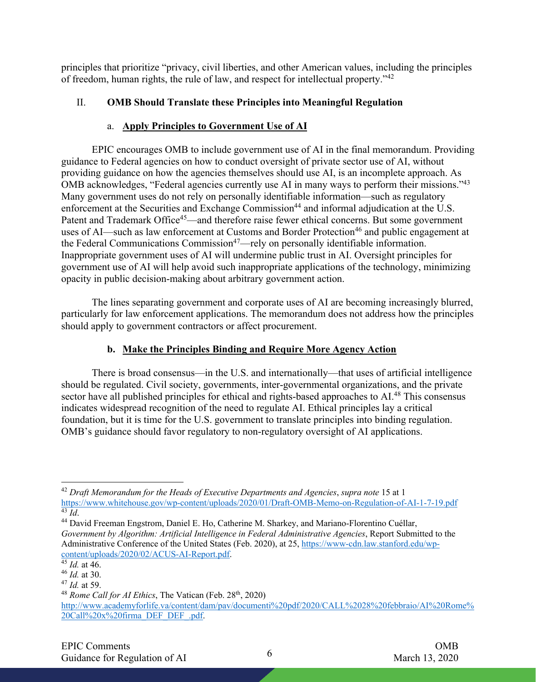principles that prioritize "privacy, civil liberties, and other American values, including the principles of freedom, human rights, the rule of law, and respect for intellectual property."42

## II. **OMB Should Translate these Principles into Meaningful Regulation**

### a. **Apply Principles to Government Use of AI**

EPIC encourages OMB to include government use of AI in the final memorandum. Providing guidance to Federal agencies on how to conduct oversight of private sector use of AI, without providing guidance on how the agencies themselves should use AI, is an incomplete approach. As OMB acknowledges, "Federal agencies currently use AI in many ways to perform their missions."43 Many government uses do not rely on personally identifiable information—such as regulatory enforcement at the Securities and Exchange Commission<sup>44</sup> and informal adjudication at the U.S. Patent and Trademark Office<sup>45</sup>—and therefore raise fewer ethical concerns. But some government uses of AI—such as law enforcement at Customs and Border Protection<sup>46</sup> and public engagement at the Federal Communications Commission<sup>47</sup>—rely on personally identifiable information. Inappropriate government uses of AI will undermine public trust in AI. Oversight principles for government use of AI will help avoid such inappropriate applications of the technology, minimizing opacity in public decision-making about arbitrary government action.

The lines separating government and corporate uses of AI are becoming increasingly blurred, particularly for law enforcement applications. The memorandum does not address how the principles should apply to government contractors or affect procurement.

## **b. Make the Principles Binding and Require More Agency Action**

There is broad consensus—in the U.S. and internationally—that uses of artificial intelligence should be regulated. Civil society, governments, inter-governmental organizations, and the private sector have all published principles for ethical and rights-based approaches to AI.<sup>48</sup> This consensus indicates widespread recognition of the need to regulate AI. Ethical principles lay a critical foundation, but it is time for the U.S. government to translate principles into binding regulation. OMB's guidance should favor regulatory to non-regulatory oversight of AI applications.

<sup>&</sup>lt;sup>42</sup> *Draft Memorandum for the Heads of Executive Departments and Agencies, supra note* 15 at 1<br>https://www.whitehouse.gov/wp-content/uploads/2020/01/Draft-OMB-Memo-on-Regulation-of-AI-1-7-19.pdf <sup>43</sup> *Id.*<br><sup>44</sup> David Freeman Engstrom, Daniel E. Ho, Catherine M. Sharkey, and Mariano-Florentino Cuéllar,

*Government by Algorithm: Artificial Intelligence in Federal Administrative Agencies*, Report Submitted to the Administrative Conference of the United States (Feb. 2020), at 25, https://www-cdn.law.stanford.edu/wpcontent/uploads/2020/02/ACUS-AI-Report.pdf.

 $\frac{45}{45}$  *Id.* at 46.

<sup>46</sup> *Id.* at 30.

<sup>47</sup> *Id.* at 59.

<sup>&</sup>lt;sup>48</sup> *Rome Call for AI Ethics*, The Vatican (Feb. 28<sup>th</sup>, 2020) http://www.academyforlife.va/content/dam/pav/documenti%20pdf/2020/CALL%2028%20febbraio/AI%20Rome% 20Call%20x%20firma\_DEF\_DEF\_.pdf.